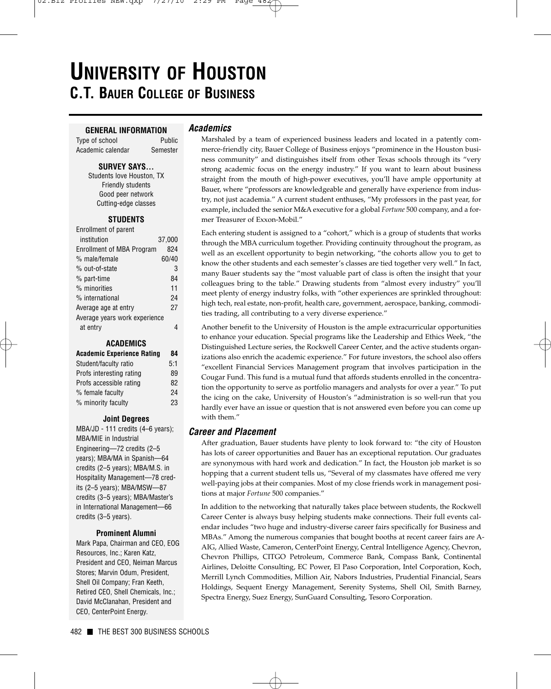# **UNIVERSITY OF HOUSTON C.T. BAUER COLLEGE OF BUSINESS**

**Academics**

# **GENERAL INFORMATION**

Type of school Public Academic calendar Semester

**SURVEY SAYS...**

Students love Houston, TX Friendly students Good peer network Cutting-edge classes

# **STUDENTS**

| Enrollment of parent             |        |
|----------------------------------|--------|
| institution                      | 37.000 |
| <b>Enrollment of MBA Program</b> | 824    |
| % male/female                    | 60/40  |
| % out-of-state                   | 3      |
| % part-time                      | 84     |
| % minorities                     | 11     |
| % international                  | 24     |
| Average age at entry             | 27     |
| Average years work experience    |        |
| at entry                         |        |
|                                  |        |

# **ACADEMICS**

**Academic Experience Rating 84** Student/faculty ratio 5:1 Profs interesting rating 89 Profs accessible rating 82 % female faculty 24 % minority faculty 23

## **Joint Degrees**

MBA/JD - 111 credits (4–6 years); MBA/MIE in Industrial Engineering—72 credits (2–5 years); MBA/MA in Spanish—64 credits (2–5 years); MBA/M.S. in Hospitality Management—78 credits (2–5 years); MBA/MSW—87 credits (3–5 years); MBA/Master's in International Management—66 credits (3–5 years).

#### **Prominent Alumni**

Mark Papa, Chairman and CEO, EOG Resources, Inc.; Karen Katz, President and CEO, Neiman Marcus Stores; Marvin Odum, President, Shell Oil Company; Fran Keeth, Retired CEO, Shell Chemicals, Inc.; David McClanahan, President and CEO, CenterPoint Energy.

Marshaled by a team of experienced business leaders and located in a patently commerce-friendly city, Bauer College of Business enjoys "prominence in the Houston business community" and distinguishes itself from other Texas schools through its "very strong academic focus on the energy industry." If you want to learn about business straight from the mouth of high-power executives, you'll have ample opportunity at Bauer, where "professors are knowledgeable and generally have experience from industry, not just academia." A current student enthuses, "My professors in the past year, for example, included the senior M&A executive for a global *Fortune* 500 company, and a former Treasurer of Exxon-Mobil."

Each entering student is assigned to a "cohort," which is a group of students that works through the MBA curriculum together. Providing continuity throughout the program, as well as an excellent opportunity to begin networking, "the cohorts allow you to get to know the other students and each semester's classes are tied together very well." In fact, many Bauer students say the "most valuable part of class is often the insight that your colleagues bring to the table." Drawing students from "almost every industry" you'll meet plenty of energy industry folks, with "other experiences are sprinkled throughout: high tech, real estate, non-profit, health care, government, aerospace, banking, commodities trading, all contributing to a very diverse experience."

Another benefit to the University of Houston is the ample extracurricular opportunities to enhance your education. Special programs like the Leadership and Ethics Week, "the Distinguished Lecture series, the Rockwell Career Center, and the active students organizations also enrich the academic experience." For future investors, the school also offers "excellent Financial Services Management program that involves participation in the Cougar Fund. This fund is a mutual fund that affords students enrolled in the concentration the opportunity to serve as portfolio managers and analysts for over a year." To put the icing on the cake, University of Houston's "administration is so well-run that you hardly ever have an issue or question that is not answered even before you can come up with them."

# **Career and Placement**

After graduation, Bauer students have plenty to look forward to: "the city of Houston has lots of career opportunities and Bauer has an exceptional reputation. Our graduates are synonymous with hard work and dedication." In fact, the Houston job market is so hopping that a current student tells us, "Several of my classmates have offered me very well-paying jobs at their companies. Most of my close friends work in management positions at major *Fortune* 500 companies."

In addition to the networking that naturally takes place between students, the Rockwell Career Center is always busy helping students make connections. Their full events calendar includes "two huge and industry-diverse career fairs specifically for Business and MBAs." Among the numerous companies that bought booths at recent career fairs are A-AIG, Allied Waste, Cameron, CenterPoint Energy, Central Intelligence Agency, Chevron, Chevron Phillips, CITGO Petroleum, Commerce Bank, Compass Bank, Continental Airlines, Deloitte Consulting, EC Power, El Paso Corporation, Intel Corporation, Koch, Merrill Lynch Commodities, Million Air, Nabors Industries, Prudential Financial, Sears Holdings, Sequent Energy Management, Serenity Systems, Shell Oil, Smith Barney, Spectra Energy, Suez Energy, SunGuard Consulting, Tesoro Corporation.